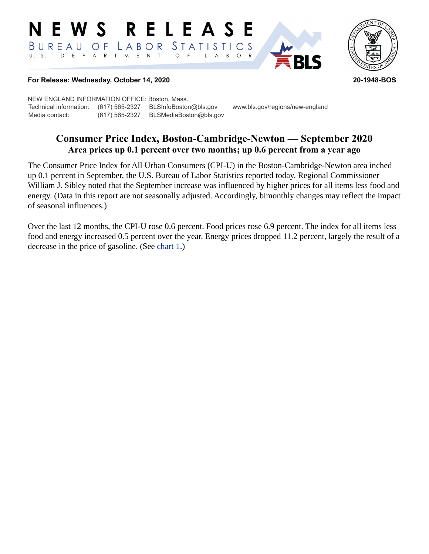#### E W S **RELEASE** STATISTICS BUREAU  $\overline{O}$  F LABOR D E P A R T M E N T  $U. S.$  $\bigcirc$  $\overline{F}$  $B$  $\circ$  $\mathsf{R}$  $\mathsf{L}$  $\mathsf{A}$



#### **For Release: Wednesday, October 14, 2020 20-1948-BOS**

NEW ENGLAND INFORMATION OFFICE: Boston, Mass. Technical information: (617) 565-2327 BLSInfoBoston@bls.gov www.bls.gov/regions/new-england Media contact: (617) 565-2327 BLSMediaBoston@bls.gov

# **Consumer Price Index, Boston-Cambridge-Newton — September 2020 Area prices up 0.1 percent over two months; up 0.6 percent from a year ago**

The Consumer Price Index for All Urban Consumers (CPI-U) in the Boston-Cambridge-Newton area inched up 0.1 percent in September, the U.S. Bureau of Labor Statistics reported today. Regional Commissioner William J. Sibley noted that the September increase was influenced by higher prices for all items less food and energy. (Data in this report are not seasonally adjusted. Accordingly, bimonthly changes may reflect the impact of seasonal influences.)

Over the last 12 months, the CPI-U rose 0.6 percent. Food prices rose 6.9 percent. The index for all items less food and energy increased 0.5 percent over the year. Energy prices dropped 11.2 percent, largely the result of a decrease in the price of gasoline. (See chart 1.)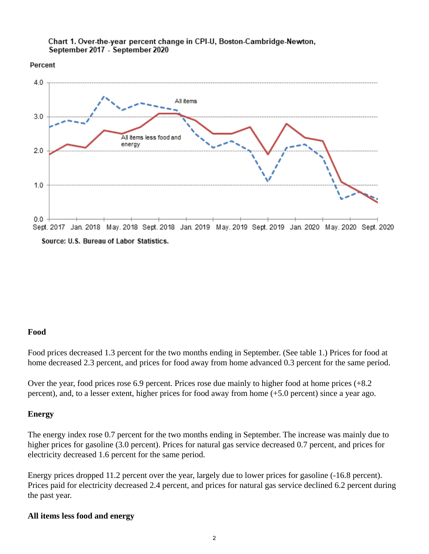

Percent



### **Food**

Food prices decreased 1.3 percent for the two months ending in September. (See table 1.) Prices for food at home decreased 2.3 percent, and prices for food away from home advanced 0.3 percent for the same period.

Over the year, food prices rose 6.9 percent. Prices rose due mainly to higher food at home prices (+8.2 percent), and, to a lesser extent, higher prices for food away from home (+5.0 percent) since a year ago.

## **Energy**

The energy index rose 0.7 percent for the two months ending in September. The increase was mainly due to higher prices for gasoline (3.0 percent). Prices for natural gas service decreased 0.7 percent, and prices for electricity decreased 1.6 percent for the same period.

Energy prices dropped 11.2 percent over the year, largely due to lower prices for gasoline (-16.8 percent). Prices paid for electricity decreased 2.4 percent, and prices for natural gas service declined 6.2 percent during the past year.

## **All items less food and energy**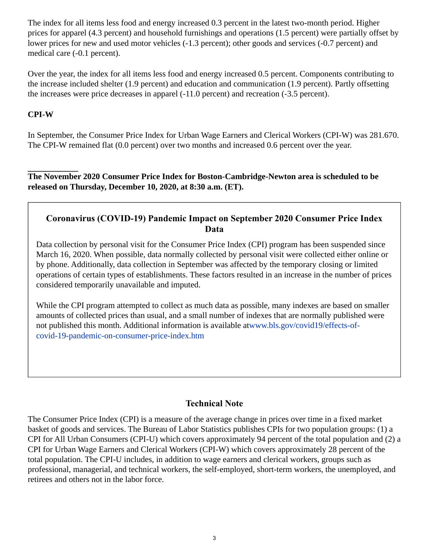The index for all items less food and energy increased 0.3 percent in the latest two-month period. Higher prices for apparel (4.3 percent) and household furnishings and operations (1.5 percent) were partially offset by lower prices for new and used motor vehicles (-1.3 percent); other goods and services (-0.7 percent) and medical care (-0.1 percent).

Over the year, the index for all items less food and energy increased 0.5 percent. Components contributing to the increase included shelter (1.9 percent) and education and communication (1.9 percent). Partly offsetting the increases were price decreases in apparel (-11.0 percent) and recreation (-3.5 percent).

## **CPI-W**

In September, the Consumer Price Index for Urban Wage Earners and Clerical Workers (CPI-W) was 281.670. The CPI-W remained flat (0.0 percent) over two months and increased 0.6 percent over the year.

**The November 2020 Consumer Price Index for Boston-Cambridge-Newton area is scheduled to be released on Thursday, December 10, 2020, at 8:30 a.m. (ET).**

## **Coronavirus (COVID-19) Pandemic Impact on September 2020 Consumer Price Index Data**

Data collection by personal visit for the Consumer Price Index (CPI) program has been suspended since March 16, 2020. When possible, data normally collected by personal visit were collected either online or by phone. Additionally, data collection in September was affected by the temporary closing or limited operations of certain types of establishments. These factors resulted in an increase in the number of prices considered temporarily unavailable and imputed.

While the CPI program attempted to collect as much data as possible, many indexes are based on smaller amounts of collected prices than usual, and a small number of indexes that are normally published were not published this month. Additional information is available at[www.bls.gov/covid19/effects-of](https://www.bls.gov/covid19/effects-of-covid-19-pandemic-on-consumer-price-index.htm)[covid-19-pandemic-on-consumer-price-index.htm](https://www.bls.gov/covid19/effects-of-covid-19-pandemic-on-consumer-price-index.htm)

# **Technical Note**

The Consumer Price Index (CPI) is a measure of the average change in prices over time in a fixed market basket of goods and services. The Bureau of Labor Statistics publishes CPIs for two population groups: (1) a CPI for All Urban Consumers (CPI-U) which covers approximately 94 percent of the total population and (2) a CPI for Urban Wage Earners and Clerical Workers (CPI-W) which covers approximately 28 percent of the total population. The CPI-U includes, in addition to wage earners and clerical workers, groups such as professional, managerial, and technical workers, the self-employed, short-term workers, the unemployed, and retirees and others not in the labor force.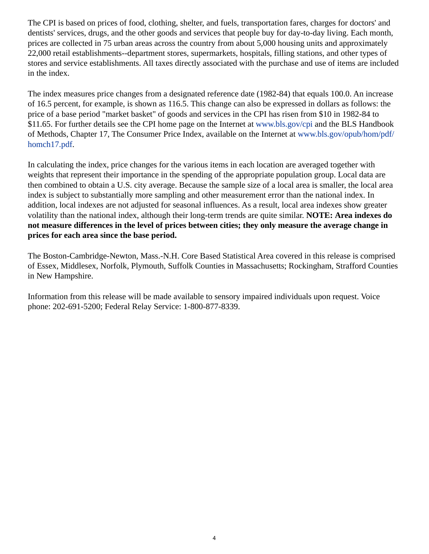The CPI is based on prices of food, clothing, shelter, and fuels, transportation fares, charges for doctors' and dentists' services, drugs, and the other goods and services that people buy for day-to-day living. Each month, prices are collected in 75 urban areas across the country from about 5,000 housing units and approximately 22,000 retail establishments--department stores, supermarkets, hospitals, filling stations, and other types of stores and service establishments. All taxes directly associated with the purchase and use of items are included in the index.

The index measures price changes from a designated reference date (1982-84) that equals 100.0. An increase of 16.5 percent, for example, is shown as 116.5. This change can also be expressed in dollars as follows: the price of a base period "market basket" of goods and services in the CPI has risen from \$10 in 1982-84 to \$11.65. For further details see the CPI home page on the Internet at [www.bls.gov/cpi](https://www.bls.gov/cpi) and the BLS Handbook of Methods, Chapter 17, The Consumer Price Index, available on the Internet at [www.bls.gov/opub/hom/pdf/](https://www.bls.gov/opub/hom/pdf/homch17.pdf) [homch17.pdf](https://www.bls.gov/opub/hom/pdf/homch17.pdf).

In calculating the index, price changes for the various items in each location are averaged together with weights that represent their importance in the spending of the appropriate population group. Local data are then combined to obtain a U.S. city average. Because the sample size of a local area is smaller, the local area index is subject to substantially more sampling and other measurement error than the national index. In addition, local indexes are not adjusted for seasonal influences. As a result, local area indexes show greater volatility than the national index, although their long-term trends are quite similar. **NOTE: Area indexes do not measure differences in the level of prices between cities; they only measure the average change in prices for each area since the base period.**

The Boston-Cambridge-Newton, Mass.-N.H. Core Based Statistical Area covered in this release is comprised of Essex, Middlesex, Norfolk, Plymouth, Suffolk Counties in Massachusetts; Rockingham, Strafford Counties in New Hampshire.

Information from this release will be made available to sensory impaired individuals upon request. Voice phone: 202-691-5200; Federal Relay Service: 1-800-877-8339.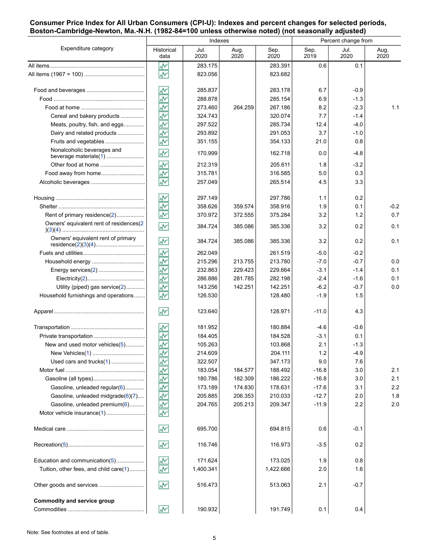#### **Consumer Price Index for All Urban Consumers (CPI-U): Indexes and percent changes for selected periods, Boston-Cambridge-Newton, Ma.-N.H. (1982-84=100 unless otherwise noted) (not seasonally adjusted)**

| Expenditure category                    | Indexes                    |              |              |              | Percent change from |              |              |
|-----------------------------------------|----------------------------|--------------|--------------|--------------|---------------------|--------------|--------------|
|                                         | Historical<br>data         | Jul.<br>2020 | Aug.<br>2020 | Sep.<br>2020 | Sep.<br>2019        | Jul.<br>2020 | Aug.<br>2020 |
|                                         | ۸Y                         | 283.175      |              | 283.391      | 0.6                 | 0.1          |              |
|                                         | $\overline{\mathcal{N}}$   | 823.056      |              | 823.682      |                     |              |              |
|                                         | ۸Μ                         | 285.837      |              | 283.178      | 6.7                 | $-0.9$       |              |
|                                         | ۸Ņ                         | 288.878      |              | 285.154      | 6.9                 | $-1.3$       |              |
|                                         | $\frac{\sqrt{\lambda}}{2}$ | 273.460      | 264.259      | 267.186      | 8.2                 | $-2.3$       | 1.1          |
| Cereal and bakery products              | ž                          | 324.743      |              | 320.074      | 7.7                 | $-1.4$       |              |
| Meats, poultry, fish, and eggs          | $\frac{1}{\sqrt{2}}$       | 297.522      |              | 285.734      | 12.4                | $-4.0$       |              |
| Dairy and related products              | ķ                          | 293.892      |              | 291.053      | 3.7                 | $-1.0$       |              |
| Fruits and vegetables                   | ž                          | 351.155      |              | 354.133      | 21.0                | 0.8          |              |
| Nonalcoholic beverages and              | ŵ٧                         | 170.999      |              | 162.718      | 0.0                 | $-4.8$       |              |
|                                         | ۸v                         | 212.319      |              | 205.611      | 1.8                 | $-3.2$       |              |
| Food away from home                     | ž                          | 315.781      |              | 316.585      | 5.0                 | 0.3          |              |
|                                         | $\overline{\star}$         | 257.049      |              | 265.514      | 4.5                 | 3.3          |              |
|                                         | ŵ٨                         | 297.149      |              | 297.786      | 1.1                 | 0.2          |              |
|                                         | ž                          | 358.626      | 359.574      | 358.916      | 1.9                 | 0.1          | $-0.2$       |
| Rent of primary residence(2)            | $\overline{\mathbf{v}}$    | 370.972      | 372.555      | 375.284      | 3.2                 | 1.2          | 0.7          |
| Owners' equivalent rent of residences(2 | W٨                         | 384.724      | 385.086      | 385.336      | 3.2                 | 0.2          | 0.1          |
| Owners' equivalent rent of primary      | ŵ٧                         | 384.724      | 385.086      | 385.336      | 3.2                 | 0.2          | 0.1          |
|                                         | ۸V                         | 262.049      |              | 261.519      | $-5.0$              | $-0.2$       |              |
|                                         | $\frac{1}{\sqrt{2}}$       | 215.296      | 213.755      | 213.780      | $-7.0$              | $-0.7$       | 0.0          |
|                                         | $\frac{1}{\sqrt{2}}$       | 232.863      | 229.423      | 229.664      | $-3.1$              | $-1.4$       | 0.1          |
|                                         | $\bar{\mathcal{N}}$        | 286.886      | 281.785      | 282.198      | $-2.4$              | $-1.6$       | 0.1          |
| Utility (piped) gas service(2)          | $\overline{\star}$         | 143.256      | 142.251      | 142.251      | $-6.2$              | -0.7         | 0.0          |
| Household furnishings and operations    | $\overline{\mathcal{N}}$   | 126.530      |              | 128.480      | $-1.9$              | 1.5          |              |
|                                         | W۲                         | 123.640      |              | 128.971      | $-11.0$             | 4.3          |              |
|                                         | W۰                         | 181.952      |              | 180.884      | -4.6                | -0.6         |              |
|                                         | ŵ٧                         | 184.405      |              | 184.528      | $-3.1$              | 0.1          |              |
| New and used motor vehicles(5)          | ž                          | 105.263      |              | 103.868      | 2.1                 | $-1.3$       |              |
|                                         | 圣                          | 214.609      |              | 204.111      | 1.2                 | -4.9         |              |
| Used cars and trucks(1)                 | ž                          | 322.507      |              | 347.173      | 9.0                 | 7.6          |              |
|                                         | 交                          | 183.054      | 184.577      | 188.492      | $-16.8$             | 3.0          | 2.1          |
|                                         | $\overline{\star}$         | 180.786      | 182.309      | 186.222      | $-16.8$             | 3.0          | 2.1          |
| Gasoline, unleaded regular(6)           |                            | 173.189      | 174.830      | 178.631      | $-17.6$             | 3.1          | 2.2          |
| Gasoline, unleaded midgrade(6)(7)       |                            | 205.885      | 206.353      | 210.033      | $-12.7$             | 2.0          | 1.8          |
| Gasoline, unleaded premium(6)           | 최초초                        | 204.765      | 205.213      | 209.347      | $-11.9$             | 2.2          | 2.0          |
|                                         |                            |              |              |              |                     |              |              |
|                                         | $\sqrt{2}$                 | 695.700      |              | 694.815      | 0.6                 | $-0.1$       |              |
|                                         | ۸M                         | 116.746      |              | 116.973      | $-3.5$              | 0.2          |              |
| Education and communication(5)          | M٢                         | 171.624      |              | 173.025      | 1.9                 | 0.8          |              |
| Tuition, other fees, and child care(1)  | W۲                         | 1,400.341    |              | 1,422.666    | 2.0                 | 1.6          |              |
| Other goods and services                | ۸M                         | 516.473      |              | 513.063      | 2.1                 | $-0.7$       |              |
| Commodity and service group             |                            |              |              |              |                     |              |              |
|                                         | 서                          | 190.932      |              | 191.749      | 0.1                 | 0.4          |              |